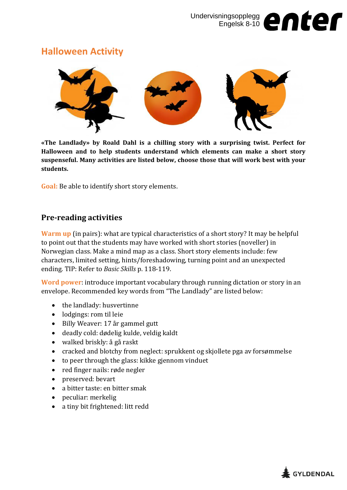## **Halloween Activity**



**«The Landlady» by Roald Dahl is a chilling story with a surprising twist. Perfect for Halloween and to help students understand which elements can make a short story suspenseful. Many activities are listed below, choose those that will work best with your students.**

**Goal:** Be able to identify short story elements.

## **Pre-reading activities**

**Warm up** (in pairs): what are typical characteristics of a short story? It may be helpful to point out that the students may have worked with short stories (noveller) in Norwegian class. Make a mind map as a class. Short story elements include: few characters, limited setting, hints/foreshadowing, turning point and an unexpected ending. TIP: Refer to *Basic Skills* p. 118-119.

**Word power**: introduce important vocabulary through running dictation or story in an envelope. Recommended key words from "The Landlady" are listed below:

- the landlady: husvertinne
- lodgings: rom til leie
- Billy Weaver: 17 år gammel gutt
- deadly cold: dødelig kulde, veldig kaldt
- walked briskly: å gå raskt
- cracked and blotchy from neglect: sprukkent og skjollete pga av forsømmelse
- to peer through the glass: kikke gjennom vinduet
- red finger nails: røde negler
- preserved: bevart
- a bitter taste: en bitter smak
- peculiar: merkelig
- a tiny bit frightened: litt redd